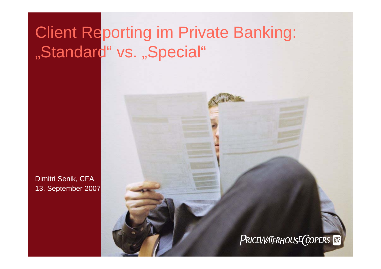Dimitri Senik, CFA 13. September 2007

#### PRICEWATERHOUSE COPERS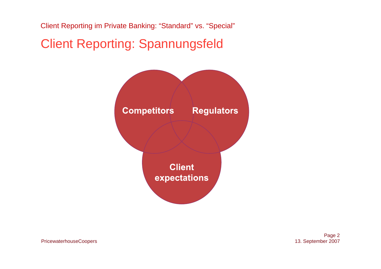### Client Reporting: Spannungsfeld



Page 2 13. September 2007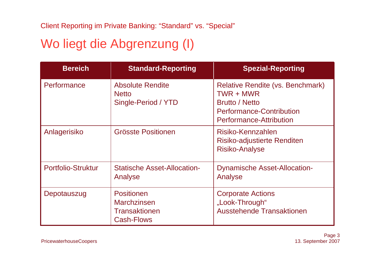# Wo liegt die Abgrenzung (I)

| <b>Bereich</b>     | <b>Standard-Reporting</b>                                                     | <b>Spezial-Reporting</b>                                                                                                                           |
|--------------------|-------------------------------------------------------------------------------|----------------------------------------------------------------------------------------------------------------------------------------------------|
| Performance        | <b>Absolute Rendite</b><br><b>Netto</b><br>Single-Period / YTD                | <b>Relative Rendite (vs. Benchmark)</b><br>TWR + MWR<br><b>Brutto / Netto</b><br><b>Performance-Contribution</b><br><b>Performance-Attribution</b> |
| Anlagerisiko       | Grösste Positionen                                                            | Risiko-Kennzahlen<br>Risiko-adjustierte Renditen<br><b>Risiko-Analyse</b>                                                                          |
| Portfolio-Struktur | <b>Statische Asset-Allocation-</b><br>Analyse                                 | <b>Dynamische Asset-Allocation-</b><br>Analyse                                                                                                     |
| Depotauszug        | <b>Positionen</b><br><b>Marchzinsen</b><br>Transaktionen<br><b>Cash-Flows</b> | <b>Corporate Actions</b><br>"Look-Through"<br><b>Ausstehende Transaktionen</b>                                                                     |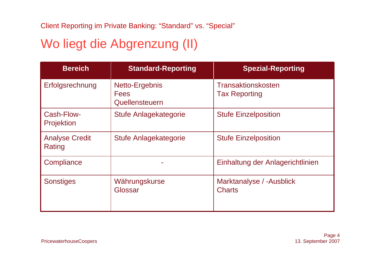# Wo liegt die Abgrenzung (II)

| <b>Bereich</b>                  | <b>Standard-Reporting</b>                       | <b>Spezial-Reporting</b>                   |
|---------------------------------|-------------------------------------------------|--------------------------------------------|
| Erfolgsrechnung                 | Netto-Ergebnis<br><b>Fees</b><br>Quellensteuern | Transaktionskosten<br><b>Tax Reporting</b> |
| Cash-Flow-<br><b>Projektion</b> | Stufe Anlagekategorie                           | <b>Stufe Einzelposition</b>                |
| <b>Analyse Credit</b><br>Rating | Stufe Anlagekategorie                           | <b>Stufe Einzelposition</b>                |
| Compliance                      |                                                 | Einhaltung der Anlagerichtlinien           |
| <b>Sonstiges</b>                | Währungskurse<br>Glossar                        | Marktanalyse / -Ausblick<br><b>Charts</b>  |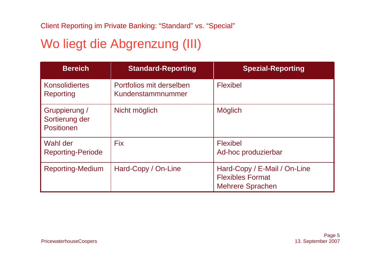## Wo liegt die Abgrenzung (III)

| <b>Bereich</b>                                | <b>Standard-Reporting</b>                     | <b>Spezial-Reporting</b>                                                           |
|-----------------------------------------------|-----------------------------------------------|------------------------------------------------------------------------------------|
| <b>Konsolidiertes</b><br>Reporting            | Portfolios mit derselben<br>Kundenstammnummer | <b>Flexibel</b>                                                                    |
| Gruppierung /<br>Sortierung der<br>Positionen | Nicht möglich                                 | <b>Möglich</b>                                                                     |
| Wahl der<br><b>Reporting-Periode</b>          | <b>Fix</b>                                    | <b>Flexibel</b><br>Ad-hoc produzierbar                                             |
| <b>Reporting-Medium</b>                       | Hard-Copy / On-Line                           | Hard-Copy / E-Mail / On-Line<br><b>Flexibles Format</b><br><b>Mehrere Sprachen</b> |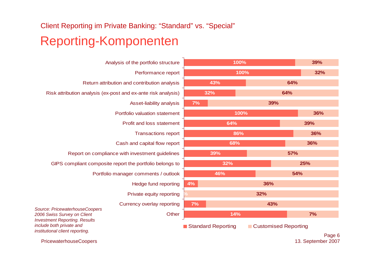#### Reporting-Komponenten Client Reporting im Private Banking: "Standard" vs. "Special"

Analysis of the portfolio structure Performance report Return attribution and contribution analysis Risk attribution analysis (ex-post and ex-ante risk analysis) Asset-liability analysis Portfolio valuation statementProfit and loss statementTransactions report Cash and capital flow report Report on compliance with investment guidelines GIPS compliant composite report the portfolio belongs to Portfolio manager comments / outlook Hedge fund reporting Private equity reporting Currency overlay reporting **Other** *Source: PricewaterhouseCoopers 2006 Swiss Survey on Client Investment Reporting. Results include both private and institutional client reporting.*



PricewaterhouseCoopers

Page 6 13. September 2007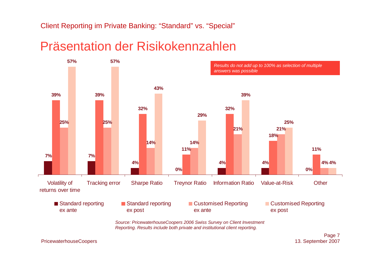#### Präsentation der Risikokennzahlen



*Reporting. Results include both private and institutional client reporting.*

#### PricewaterhouseCoopers

Page 7 13. September 2007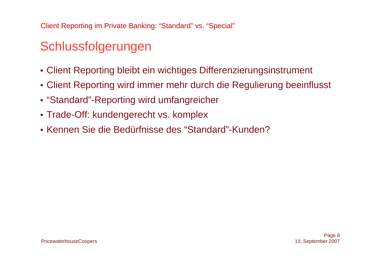# Schlussfolgerungen

- Client Reporting bleibt ein wichtiges Differenzierungsinstrument
- Client Reporting wird immer mehr durch die Regulierung beeinflusst
- "Standard"-Reporting wird umfangreicher
- Trade-Off: kundengerecht vs. komplex
- Kennen Sie die Bedürfnisse des "Standard"-Kunden?